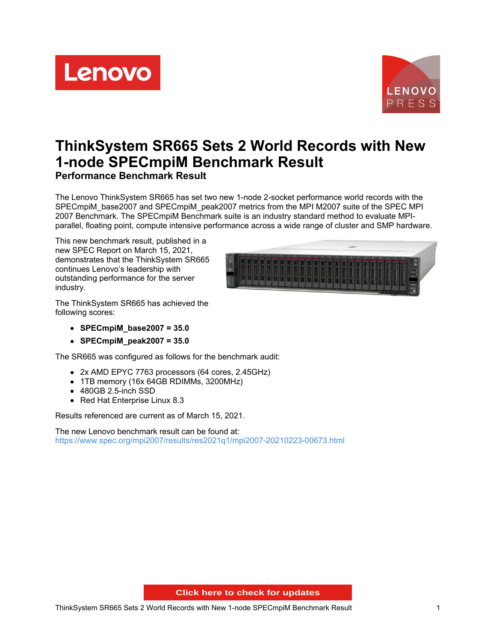Lenovo



# **ThinkSystem SR665 Sets 2 World Records with New 1-node SPECmpiM Benchmark Result Performance Benchmark Result**

The Lenovo ThinkSystem SR665 has set two new 1-node 2-socket performance world records with the SPECmpiM\_base2007 and SPECmpiM\_peak2007 metrics from the MPI M2007 suite of the SPEC MPI 2007 Benchmark. The SPECmpiM Benchmark suite is an industry standard method to evaluate MPIparallel, floating point, compute intensive performance across a wide range of cluster and SMP hardware.

This new benchmark result, published in a new SPEC Report on March 15, 2021, demonstrates that the ThinkSystem SR665 continues Lenovo's leadership with outstanding performance for the server industry.



The ThinkSystem SR665 has achieved the following scores:

- **SPECmpiM\_base2007 = 35.0**
- **SPECmpiM\_peak2007 = 35.0**

The SR665 was configured as follows for the benchmark audit:

- 2x AMD EPYC 7763 processors (64 cores, 2.45GHz)
- 1TB memory (16x 64GB RDIMMs, 3200MHz)
- 480GB 2.5-inch SSD
- Red Hat Enterprise Linux 8.3

Results referenced are current as of March 15, 2021.

The new Lenovo benchmark result can be found at: <https://www.spec.org/mpi2007/results/res2021q1/mpi2007-20210223-00673.html>

**About 20 State System Click here to check for updates**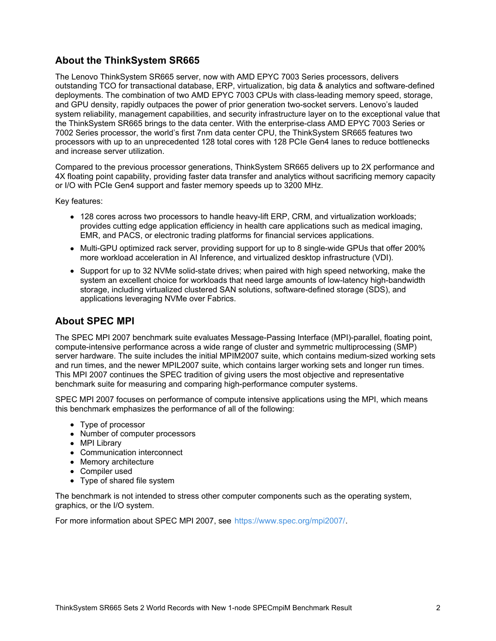# **About the ThinkSystem SR665**

The Lenovo ThinkSystem SR665 server, now with AMD EPYC 7003 Series processors, delivers outstanding TCO for transactional database, ERP, virtualization, big data & analytics and software-defined deployments. The combination of two AMD EPYC 7003 CPUs with class-leading memory speed, storage, and GPU density, rapidly outpaces the power of prior generation two-socket servers. Lenovo's lauded system reliability, management capabilities, and security infrastructure layer on to the exceptional value that the ThinkSystem SR665 brings to the data center. With the enterprise-class AMD EPYC 7003 Series or 7002 Series processor, the world's first 7nm data center CPU, the ThinkSystem SR665 features two processors with up to an unprecedented 128 total cores with 128 PCIe Gen4 lanes to reduce bottlenecks and increase server utilization.

Compared to the previous processor generations, ThinkSystem SR665 delivers up to 2X performance and 4X floating point capability, providing faster data transfer and analytics without sacrificing memory capacity or I/O with PCIe Gen4 support and faster memory speeds up to 3200 MHz.

Key features:

- 128 cores across two processors to handle heavy-lift ERP, CRM, and virtualization workloads; provides cutting edge application efficiency in health care applications such as medical imaging, EMR, and PACS, or electronic trading platforms for financial services applications.
- Multi-GPU optimized rack server, providing support for up to 8 single-wide GPUs that offer 200% more workload acceleration in AI Inference, and virtualized desktop infrastructure (VDI).
- Support for up to 32 NVMe solid-state drives; when paired with high speed networking, make the system an excellent choice for workloads that need large amounts of low-latency high-bandwidth storage, including virtualized clustered SAN solutions, software-defined storage (SDS), and applications leveraging NVMe over Fabrics.

### **About SPEC MPI**

The SPEC MPI 2007 benchmark suite evaluates Message-Passing Interface (MPI)-parallel, floating point, compute-intensive performance across a wide range of cluster and symmetric multiprocessing (SMP) server hardware. The suite includes the initial MPIM2007 suite, which contains medium-sized working sets and run times, and the newer MPIL2007 suite, which contains larger working sets and longer run times. This MPI 2007 continues the SPEC tradition of giving users the most objective and representative benchmark suite for measuring and comparing high-performance computer systems.

SPEC MPI 2007 focuses on performance of compute intensive applications using the MPI, which means this benchmark emphasizes the performance of all of the following:

- Type of processor
- Number of computer processors
- MPI Library
- Communication interconnect
- Memory architecture
- Compiler used
- Type of shared file system

The benchmark is not intended to stress other computer components such as the operating system, graphics, or the I/O system.

For more information about SPEC MPI 2007, see <https://www.spec.org/mpi2007/>.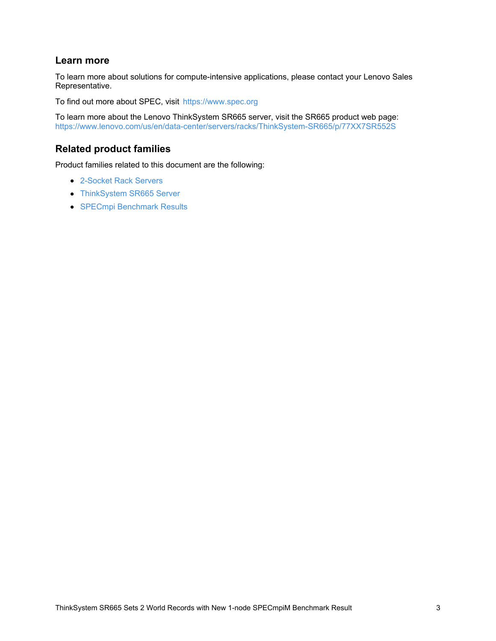## **Learn more**

To learn more about solutions for compute-intensive applications, please contact your Lenovo Sales Representative.

To find out more about SPEC, visit <https://www.spec.org>

To learn more about the Lenovo ThinkSystem SR665 server, visit the SR665 product web page: <https://www.lenovo.com/us/en/data-center/servers/racks/ThinkSystem-SR665/p/77XX7SR552S>

# **Related product families**

Product families related to this document are the following:

- [2-Socket](https://lenovopress.com/servers/racks/2s) Rack Servers
- [ThinkSystem](https://lenovopress.com/servers/thinksystem/sr665) SR665 Server
- SPECmpi [Benchmark](https://lenovopress.com/servers/benchmarks/specmpi) Results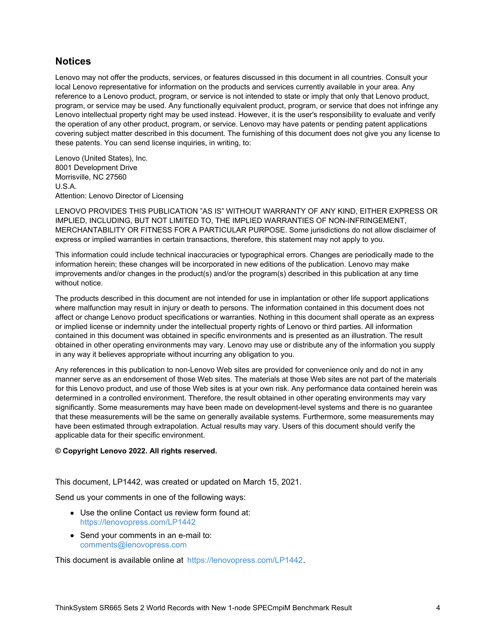#### **Notices**

Lenovo may not offer the products, services, or features discussed in this document in all countries. Consult your local Lenovo representative for information on the products and services currently available in your area. Any reference to a Lenovo product, program, or service is not intended to state or imply that only that Lenovo product, program, or service may be used. Any functionally equivalent product, program, or service that does not infringe any Lenovo intellectual property right may be used instead. However, it is the user's responsibility to evaluate and verify the operation of any other product, program, or service. Lenovo may have patents or pending patent applications covering subject matter described in this document. The furnishing of this document does not give you any license to these patents. You can send license inquiries, in writing, to:

Lenovo (United States), Inc. 8001 Development Drive Morrisville, NC 27560 U.S.A. Attention: Lenovo Director of Licensing

LENOVO PROVIDES THIS PUBLICATION "AS IS" WITHOUT WARRANTY OF ANY KIND, EITHER EXPRESS OR IMPLIED, INCLUDING, BUT NOT LIMITED TO, THE IMPLIED WARRANTIES OF NON-INFRINGEMENT, MERCHANTABILITY OR FITNESS FOR A PARTICULAR PURPOSE. Some jurisdictions do not allow disclaimer of express or implied warranties in certain transactions, therefore, this statement may not apply to you.

This information could include technical inaccuracies or typographical errors. Changes are periodically made to the information herein; these changes will be incorporated in new editions of the publication. Lenovo may make improvements and/or changes in the product(s) and/or the program(s) described in this publication at any time without notice.

The products described in this document are not intended for use in implantation or other life support applications where malfunction may result in injury or death to persons. The information contained in this document does not affect or change Lenovo product specifications or warranties. Nothing in this document shall operate as an express or implied license or indemnity under the intellectual property rights of Lenovo or third parties. All information contained in this document was obtained in specific environments and is presented as an illustration. The result obtained in other operating environments may vary. Lenovo may use or distribute any of the information you supply in any way it believes appropriate without incurring any obligation to you.

Any references in this publication to non-Lenovo Web sites are provided for convenience only and do not in any manner serve as an endorsement of those Web sites. The materials at those Web sites are not part of the materials for this Lenovo product, and use of those Web sites is at your own risk. Any performance data contained herein was determined in a controlled environment. Therefore, the result obtained in other operating environments may vary significantly. Some measurements may have been made on development-level systems and there is no guarantee that these measurements will be the same on generally available systems. Furthermore, some measurements may have been estimated through extrapolation. Actual results may vary. Users of this document should verify the applicable data for their specific environment.

#### **© Copyright Lenovo 2022. All rights reserved.**

This document, LP1442, was created or updated on March 15, 2021.

Send us your comments in one of the following ways:

- Use the online Contact us review form found at: <https://lenovopress.com/LP1442>
- Send your comments in an e-mail to: [comments@lenovopress.com](mailto:comments@lenovopress.com?subject=Feedback for LP1442)

This document is available online at <https://lenovopress.com/LP1442>.